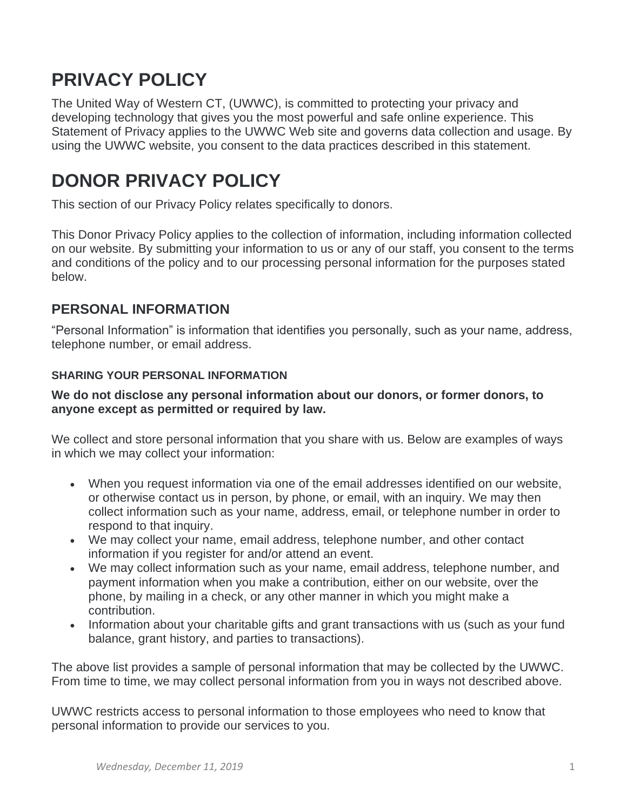# **PRIVACY POLICY**

The United Way of Western CT, (UWWC), is committed to protecting your privacy and developing technology that gives you the most powerful and safe online experience. This Statement of Privacy applies to the UWWC Web site and governs data collection and usage. By using the UWWC website, you consent to the data practices described in this statement.

# **DONOR PRIVACY POLICY**

This section of our Privacy Policy relates specifically to donors.

This Donor Privacy Policy applies to the collection of information, including information collected on our website. By submitting your information to us or any of our staff, you consent to the terms and conditions of the policy and to our processing personal information for the purposes stated below.

#### **PERSONAL INFORMATION**

"Personal Information" is information that identifies you personally, such as your name, address, telephone number, or email address.

#### **SHARING YOUR PERSONAL INFORMATION**

#### **We do not disclose any personal information about our donors, or former donors, to anyone except as permitted or required by law.**

We collect and store personal information that you share with us. Below are examples of ways in which we may collect your information:

- When you request information via one of the email addresses identified on our website, or otherwise contact us in person, by phone, or email, with an inquiry. We may then collect information such as your name, address, email, or telephone number in order to respond to that inquiry.
- We may collect your name, email address, telephone number, and other contact information if you register for and/or attend an event.
- We may collect information such as your name, email address, telephone number, and payment information when you make a contribution, either on our website, over the phone, by mailing in a check, or any other manner in which you might make a contribution.
- Information about your charitable gifts and grant transactions with us (such as your fund balance, grant history, and parties to transactions).

The above list provides a sample of personal information that may be collected by the UWWC. From time to time, we may collect personal information from you in ways not described above.

UWWC restricts access to personal information to those employees who need to know that personal information to provide our services to you.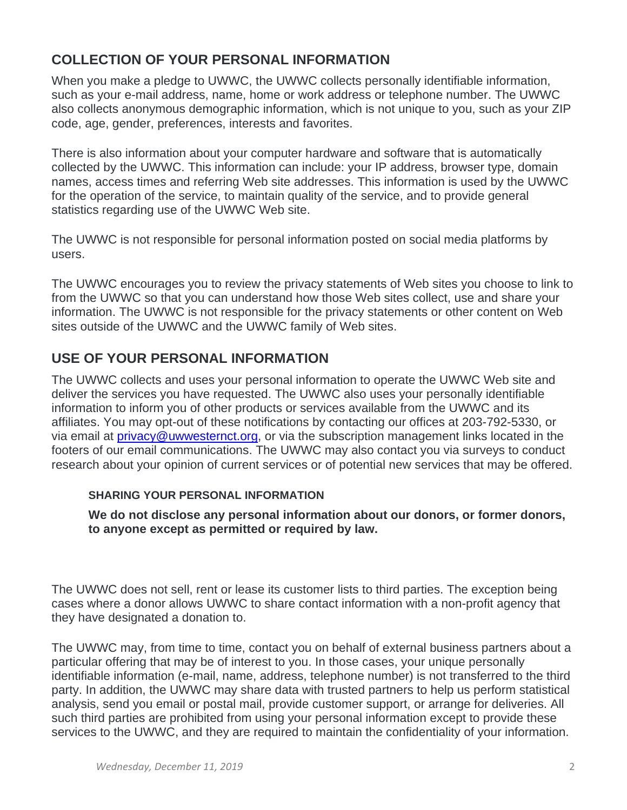## **COLLECTION OF YOUR PERSONAL INFORMATION**

When you make a pledge to UWWC, the UWWC collects personally identifiable information, such as your e-mail address, name, home or work address or telephone number. The UWWC also collects anonymous demographic information, which is not unique to you, such as your ZIP code, age, gender, preferences, interests and favorites.

There is also information about your computer hardware and software that is automatically collected by the UWWC. This information can include: your IP address, browser type, domain names, access times and referring Web site addresses. This information is used by the UWWC for the operation of the service, to maintain quality of the service, and to provide general statistics regarding use of the UWWC Web site.

The UWWC is not responsible for personal information posted on social media platforms by users.

The UWWC encourages you to review the privacy statements of Web sites you choose to link to from the UWWC so that you can understand how those Web sites collect, use and share your information. The UWWC is not responsible for the privacy statements or other content on Web sites outside of the UWWC and the UWWC family of Web sites.

## **USE OF YOUR PERSONAL INFORMATION**

The UWWC collects and uses your personal information to operate the UWWC Web site and deliver the services you have requested. The UWWC also uses your personally identifiable information to inform you of other products or services available from the UWWC and its affiliates. You may opt-out of these notifications by contacting our offices at 203-792-5330, or via email at [privacy@uwwesternct.org,](mailto:privacy@uwwesternct.org) or via the subscription management links located in the footers of our email communications. The UWWC may also contact you via surveys to conduct research about your opinion of current services or of potential new services that may be offered.

#### **SHARING YOUR PERSONAL INFORMATION**

**We do not disclose any personal information about our donors, or former donors, to anyone except as permitted or required by law.**

The UWWC does not sell, rent or lease its customer lists to third parties. The exception being cases where a donor allows UWWC to share contact information with a non-profit agency that they have designated a donation to.

The UWWC may, from time to time, contact you on behalf of external business partners about a particular offering that may be of interest to you. In those cases, your unique personally identifiable information (e-mail, name, address, telephone number) is not transferred to the third party. In addition, the UWWC may share data with trusted partners to help us perform statistical analysis, send you email or postal mail, provide customer support, or arrange for deliveries. All such third parties are prohibited from using your personal information except to provide these services to the UWWC, and they are required to maintain the confidentiality of your information.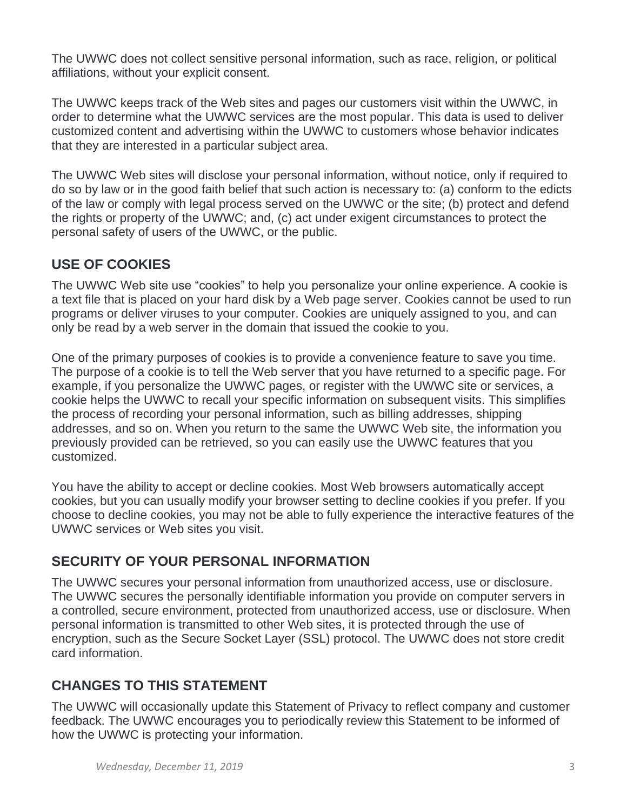The UWWC does not collect sensitive personal information, such as race, religion, or political affiliations, without your explicit consent.

The UWWC keeps track of the Web sites and pages our customers visit within the UWWC, in order to determine what the UWWC services are the most popular. This data is used to deliver customized content and advertising within the UWWC to customers whose behavior indicates that they are interested in a particular subject area.

The UWWC Web sites will disclose your personal information, without notice, only if required to do so by law or in the good faith belief that such action is necessary to: (a) conform to the edicts of the law or comply with legal process served on the UWWC or the site; (b) protect and defend the rights or property of the UWWC; and, (c) act under exigent circumstances to protect the personal safety of users of the UWWC, or the public.

# **USE OF COOKIES**

The UWWC Web site use "cookies" to help you personalize your online experience. A cookie is a text file that is placed on your hard disk by a Web page server. Cookies cannot be used to run programs or deliver viruses to your computer. Cookies are uniquely assigned to you, and can only be read by a web server in the domain that issued the cookie to you.

One of the primary purposes of cookies is to provide a convenience feature to save you time. The purpose of a cookie is to tell the Web server that you have returned to a specific page. For example, if you personalize the UWWC pages, or register with the UWWC site or services, a cookie helps the UWWC to recall your specific information on subsequent visits. This simplifies the process of recording your personal information, such as billing addresses, shipping addresses, and so on. When you return to the same the UWWC Web site, the information you previously provided can be retrieved, so you can easily use the UWWC features that you customized.

You have the ability to accept or decline cookies. Most Web browsers automatically accept cookies, but you can usually modify your browser setting to decline cookies if you prefer. If you choose to decline cookies, you may not be able to fully experience the interactive features of the UWWC services or Web sites you visit.

# **SECURITY OF YOUR PERSONAL INFORMATION**

The UWWC secures your personal information from unauthorized access, use or disclosure. The UWWC secures the personally identifiable information you provide on computer servers in a controlled, secure environment, protected from unauthorized access, use or disclosure. When personal information is transmitted to other Web sites, it is protected through the use of encryption, such as the Secure Socket Layer (SSL) protocol. The UWWC does not store credit card information.

# **CHANGES TO THIS STATEMENT**

The UWWC will occasionally update this Statement of Privacy to reflect company and customer feedback. The UWWC encourages you to periodically review this Statement to be informed of how the UWWC is protecting your information.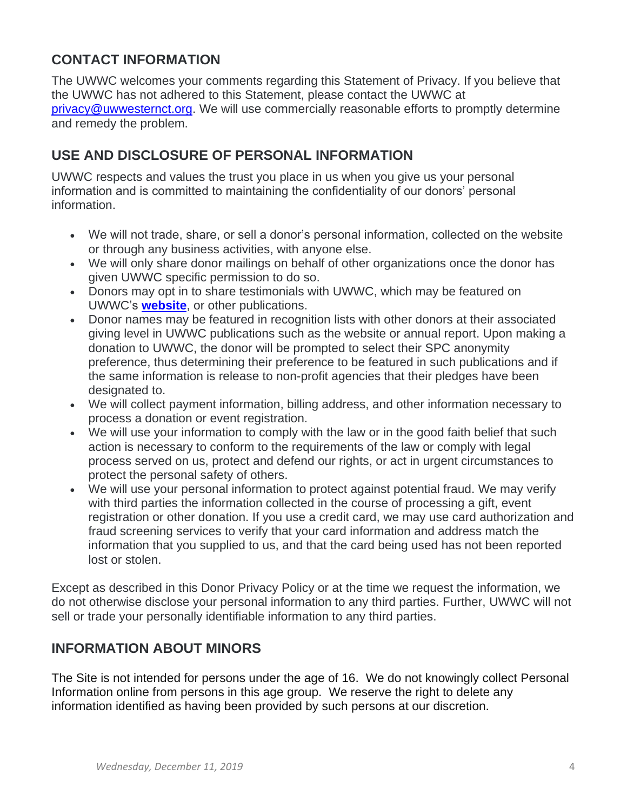#### **CONTACT INFORMATION**

The UWWC welcomes your comments regarding this Statement of Privacy. If you believe that the UWWC has not adhered to this Statement, please contact the UWWC at [privacy@uwwesternct.org.](mailto:privacy@uwwesternct.org) We will use commercially reasonable efforts to promptly determine and remedy the problem.

## **USE AND DISCLOSURE OF PERSONAL INFORMATION**

UWWC respects and values the trust you place in us when you give us your personal information and is committed to maintaining the confidentiality of our donors' personal information.

- We will not trade, share, or sell a donor's personal information, collected on the website or through any business activities, with anyone else.
- We will only share donor mailings on behalf of other organizations once the donor has given UWWC specific permission to do so.
- Donors may opt in to share testimonials with UWWC, which may be featured on UWWC's **[website](http://www.uwwesternct.org/)**, or other publications.
- Donor names may be featured in recognition lists with other donors at their associated giving level in UWWC publications such as the website or annual report. Upon making a donation to UWWC, the donor will be prompted to select their SPC anonymity preference, thus determining their preference to be featured in such publications and if the same information is release to non-profit agencies that their pledges have been designated to.
- We will collect payment information, billing address, and other information necessary to process a donation or event registration.
- We will use your information to comply with the law or in the good faith belief that such action is necessary to conform to the requirements of the law or comply with legal process served on us, protect and defend our rights, or act in urgent circumstances to protect the personal safety of others.
- We will use your personal information to protect against potential fraud. We may verify with third parties the information collected in the course of processing a gift, event registration or other donation. If you use a credit card, we may use card authorization and fraud screening services to verify that your card information and address match the information that you supplied to us, and that the card being used has not been reported lost or stolen.

Except as described in this Donor Privacy Policy or at the time we request the information, we do not otherwise disclose your personal information to any third parties. Further, UWWC will not sell or trade your personally identifiable information to any third parties.

### **INFORMATION ABOUT MINORS**

The Site is not intended for persons under the age of 16. We do not knowingly collect Personal Information online from persons in this age group. We reserve the right to delete any information identified as having been provided by such persons at our discretion.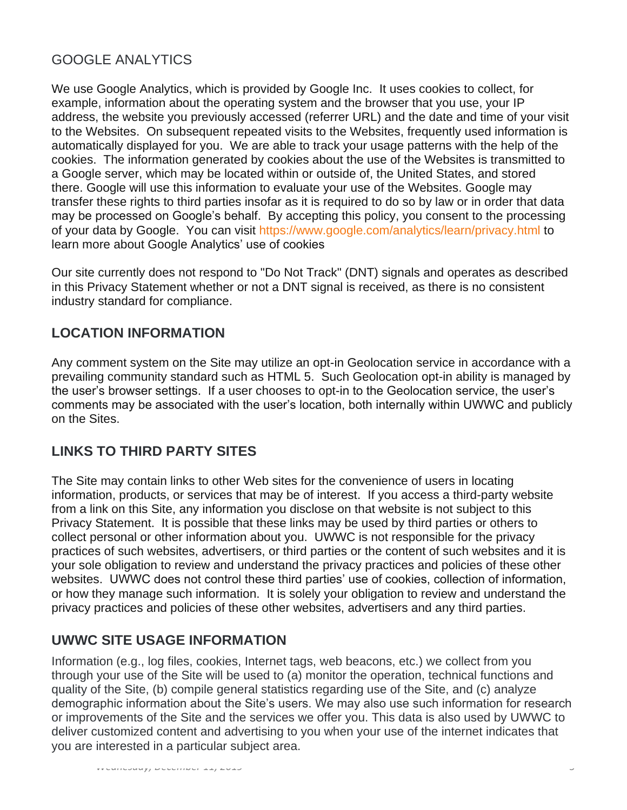# GOOGLE ANALYTICS

We use Google Analytics, which is provided by Google Inc. It uses cookies to collect, for example, information about the operating system and the browser that you use, your IP address, the website you previously accessed (referrer URL) and the date and time of your visit to the Websites. On subsequent repeated visits to the Websites, frequently used information is automatically displayed for you. We are able to track your usage patterns with the help of the cookies. The information generated by cookies about the use of the Websites is transmitted to a Google server, which may be located within or outside of, the United States, and stored there. Google will use this information to evaluate your use of the Websites. Google may transfer these rights to third parties insofar as it is required to do so by law or in order that data may be processed on Google's behalf. By accepting this policy, you consent to the processing of your data by Google. You can visit <https://www.google.com/analytics/learn/privacy.html> to learn more about Google Analytics' use of cookies

Our site currently does not respond to "Do Not Track" (DNT) signals and operates as described in this Privacy Statement whether or not a DNT signal is received, as there is no consistent industry standard for compliance.

### **LOCATION INFORMATION**

Any comment system on the Site may utilize an opt-in Geolocation service in accordance with a prevailing community standard such as HTML 5. Such Geolocation opt-in ability is managed by the user's browser settings. If a user chooses to opt-in to the Geolocation service, the user's comments may be associated with the user's location, both internally within UWWC and publicly on the Sites.

### **LINKS TO THIRD PARTY SITES**

The Site may contain links to other Web sites for the convenience of users in locating information, products, or services that may be of interest. If you access a third-party website from a link on this Site, any information you disclose on that website is not subject to this Privacy Statement. It is possible that these links may be used by third parties or others to collect personal or other information about you. UWWC is not responsible for the privacy practices of such websites, advertisers, or third parties or the content of such websites and it is your sole obligation to review and understand the privacy practices and policies of these other websites. UWWC does not control these third parties' use of cookies, collection of information, or how they manage such information. It is solely your obligation to review and understand the privacy practices and policies of these other websites, advertisers and any third parties.

### **UWWC SITE USAGE INFORMATION**

Information (e.g., log files, cookies, Internet tags, web beacons, etc.) we collect from you through your use of the Site will be used to (a) monitor the operation, technical functions and quality of the Site, (b) compile general statistics regarding use of the Site, and (c) analyze demographic information about the Site's users. We may also use such information for research or improvements of the Site and the services we offer you. This data is also used by UWWC to deliver customized content and advertising to you when your use of the internet indicates that you are interested in a particular subject area.